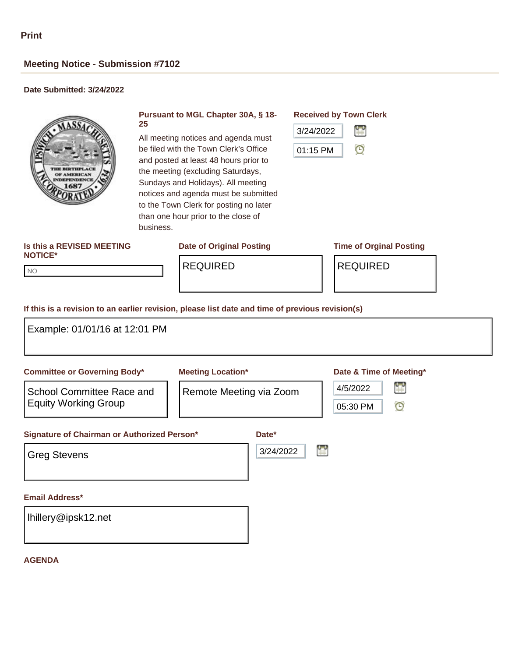# **Meeting Notice - Submission #7102**

## **Date Submitted: 3/24/2022**



### **Pursuant to MGL Chapter 30A, § 18- 25**

All meeting notices and agenda must be filed with the Town Clerk's Office and posted at least 48 hours prior to the meeting (excluding Saturdays, Sundays and Holidays). All meeting notices and agenda must be submitted to the Town Clerk for posting no later than one hour prior to the close of business.

# **Received by Town Clerk**



### **Is this a REVISED MEETING NOTICE\***

## **Date of Original Posting Time of Orginal Posting**

NO NO

REQUIRED REQUIRED

### **If this is a revision to an earlier revision, please list date and time of previous revision(s)**

| Example: 01/01/16 at 12:01 PM                                                                   |                                                     |                    |                                                                 |
|-------------------------------------------------------------------------------------------------|-----------------------------------------------------|--------------------|-----------------------------------------------------------------|
| <b>Committee or Governing Body*</b><br>School Committee Race and<br><b>Equity Working Group</b> | <b>Meeting Location*</b><br>Remote Meeting via Zoom |                    | Date & Time of Meeting*<br>Ħ<br>4/5/2022<br>$\odot$<br>05:30 PM |
| Signature of Chairman or Authorized Person*<br><b>Greg Stevens</b>                              |                                                     | Date*<br>3/24/2022 | Ħ                                                               |
| <b>Email Address*</b><br>Ihillery@ipsk12.net                                                    |                                                     |                    |                                                                 |

#### **AGENDA**